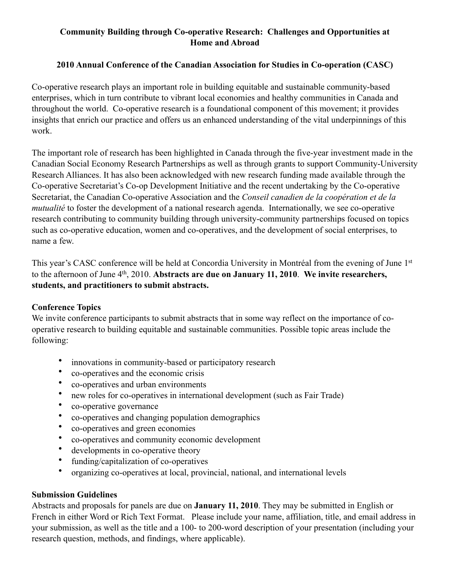## **Community Building through Co-operative Research: Challenges and Opportunities at Home and Abroad**

## **2010 Annual Conference of the Canadian Association for Studies in Co-operation (CASC)**

Co-operative research plays an important role in building equitable and sustainable community-based enterprises, which in turn contribute to vibrant local economies and healthy communities in Canada and throughout the world. Co-operative research is a foundational component of this movement; it provides insights that enrich our practice and offers us an enhanced understanding of the vital underpinnings of this work.

The important role of research has been highlighted in Canada through the five-year investment made in the Canadian Social Economy Research Partnerships as well as through grants to support Community-University Research Alliances. It has also been acknowledged with new research funding made available through the Co-operative Secretariat's Co-op Development Initiative and the recent undertaking by the Co-operative Secretariat, the Canadian Co-operative Association and the *Conseil canadien de la coopération et de la mutualité* to foster the development of a national research agenda. Internationally, we see co-operative research contributing to community building through university-community partnerships focused on topics such as co-operative education, women and co-operatives, and the development of social enterprises, to name a few.

This year's CASC conference will be held at Concordia University in Montréal from the evening of June 1st to the afternoon of June 4th, 2010. **Abstracts are due on January 11, 2010**. **We invite researchers, students, and practitioners to submit abstracts.** 

## **Conference Topics**

We invite conference participants to submit abstracts that in some way reflect on the importance of cooperative research to building equitable and sustainable communities. Possible topic areas include the following:

- innovations in community-based or participatory research
- co-operatives and the economic crisis
- co-operatives and urban environments
- new roles for co-operatives in international development (such as Fair Trade)
- co-operative governance
- co-operatives and changing population demographics
- co-operatives and green economies
- co-operatives and community economic development
- developments in co-operative theory
- funding/capitalization of co-operatives
- organizing co-operatives at local, provincial, national, and international levels

## **Submission Guidelines**

Abstracts and proposals for panels are due on **January 11, 2010**. They may be submitted in English or French in either Word or Rich Text Format. Please include your name, affiliation, title, and email address in your submission, as well as the title and a 100- to 200-word description of your presentation (including your research question, methods, and findings, where applicable).